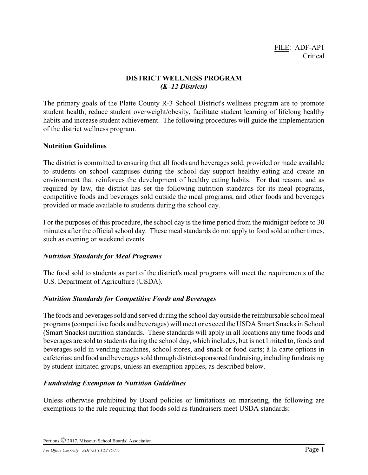## **DISTRICT WELLNESS PROGRAM** *(K–12 Districts)*

The primary goals of the Platte County R-3 School District's wellness program are to promote student health, reduce student overweight/obesity, facilitate student learning of lifelong healthy habits and increase student achievement. The following procedures will guide the implementation of the district wellness program.

## **Nutrition Guidelines**

The district is committed to ensuring that all foods and beverages sold, provided or made available to students on school campuses during the school day support healthy eating and create an environment that reinforces the development of healthy eating habits. For that reason, and as required by law, the district has set the following nutrition standards for its meal programs, competitive foods and beverages sold outside the meal programs, and other foods and beverages provided or made available to students during the school day.

For the purposes of this procedure, the school day is the time period from the midnight before to 30 minutes after the official school day. These meal standards do not apply to food sold at other times, such as evening or weekend events.

# *Nutrition Standards for Meal Programs*

The food sold to students as part of the district's meal programs will meet the requirements of the U.S. Department of Agriculture (USDA).

# *Nutrition Standards for Competitive Foods and Beverages*

The foods and beverages sold and served during the school day outside the reimbursable school meal programs (competitive foods and beverages) will meet or exceed the USDA Smart Snacks in School (Smart Snacks) nutrition standards. These standards will apply in all locations any time foods and beverages are sold to students during the school day, which includes, but is not limited to, foods and beverages sold in vending machines, school stores, and snack or food carts; à la carte options in cafeterias; and food and beverages sold through district-sponsored fundraising, including fundraising by student-initiated groups, unless an exemption applies, as described below.

# *Fundraising Exemption to Nutrition Guidelines*

Unless otherwise prohibited by Board policies or limitations on marketing, the following are exemptions to the rule requiring that foods sold as fundraisers meet USDA standards: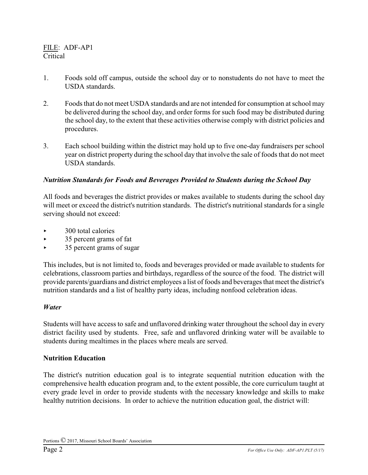- 1. Foods sold off campus, outside the school day or to nonstudents do not have to meet the USDA standards.
- 2. Foods that do not meet USDA standards and are not intended for consumption at school may be delivered during the school day, and order forms for such food may be distributed during the school day, to the extent that these activities otherwise comply with district policies and procedures.
- 3. Each school building within the district may hold up to five one-day fundraisers per school year on district property during the school day that involve the sale of foods that do not meet USDA standards.

## *Nutrition Standards for Foods and Beverages Provided to Students during the School Day*

All foods and beverages the district provides or makes available to students during the school day will meet or exceed the district's nutrition standards. The district's nutritional standards for a single serving should not exceed:

- < 300 total calories
- $\blacktriangleright$  35 percent grams of fat
- $\rightarrow$  35 percent grams of sugar

This includes, but is not limited to, foods and beverages provided or made available to students for celebrations, classroom parties and birthdays, regardless of the source of the food. The district will provide parents/guardians and district employees a list of foods and beverages that meet the district's nutrition standards and a list of healthy party ideas, including nonfood celebration ideas.

#### *Water*

Students will have access to safe and unflavored drinking water throughout the school day in every district facility used by students. Free, safe and unflavored drinking water will be available to students during mealtimes in the places where meals are served.

#### **Nutrition Education**

The district's nutrition education goal is to integrate sequential nutrition education with the comprehensive health education program and, to the extent possible, the core curriculum taught at every grade level in order to provide students with the necessary knowledge and skills to make healthy nutrition decisions. In order to achieve the nutrition education goal, the district will: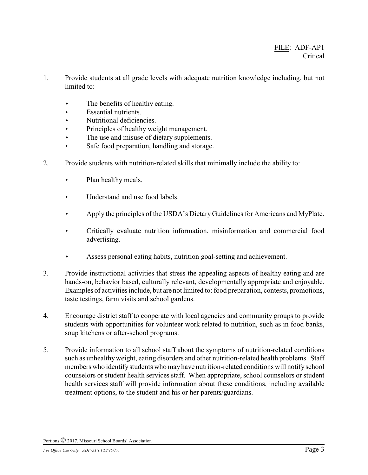- 1. Provide students at all grade levels with adequate nutrition knowledge including, but not limited to:
	- $\blacktriangleright$  The benefits of healthy eating.
	- $\blacktriangleright$  Essential nutrients.
	- < Nutritional deficiencies.
	- < Principles of healthy weight management.
	- $\blacktriangleright$  The use and misuse of dietary supplements.
	- Safe food preparation, handling and storage.
- 2. Provide students with nutrition-related skills that minimally include the ability to:
	- $\blacktriangleright$  Plan healthy meals.
	- $\blacktriangleright$  Understand and use food labels.
	- Apply the principles of the USDA's Dietary Guidelines for Americans and MyPlate.
	- < Critically evaluate nutrition information, misinformation and commercial food advertising.
	- < Assess personal eating habits, nutrition goal-setting and achievement.
- 3. Provide instructional activities that stress the appealing aspects of healthy eating and are hands-on, behavior based, culturally relevant, developmentally appropriate and enjoyable. Examples of activities include, but are not limited to: food preparation, contests, promotions, taste testings, farm visits and school gardens.
- 4. Encourage district staff to cooperate with local agencies and community groups to provide students with opportunities for volunteer work related to nutrition, such as in food banks, soup kitchens or after-school programs.
- 5. Provide information to all school staff about the symptoms of nutrition-related conditions such as unhealthyweight, eating disorders and other nutrition-related health problems. Staff members who identify students who may have nutrition-related conditions will notify school counselors or student health services staff. When appropriate, school counselors or student health services staff will provide information about these conditions, including available treatment options, to the student and his or her parents/guardians.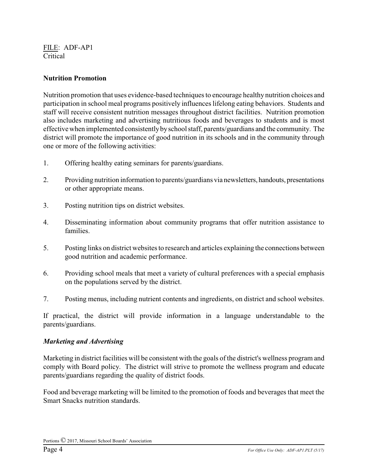#### **Nutrition Promotion**

Nutrition promotion that uses evidence-based techniques to encourage healthy nutrition choices and participation in school meal programs positively influences lifelong eating behaviors. Students and staff will receive consistent nutrition messages throughout district facilities. Nutrition promotion also includes marketing and advertising nutritious foods and beverages to students and is most effective when implemented consistentlybyschool staff, parents/guardians and the community. The district will promote the importance of good nutrition in its schools and in the community through one or more of the following activities:

- 1. Offering healthy eating seminars for parents/guardians.
- 2. Providing nutrition information to parents/guardians via newsletters, handouts, presentations or other appropriate means.
- 3. Posting nutrition tips on district websites.
- 4. Disseminating information about community programs that offer nutrition assistance to families.
- 5. Posting links on district websites to research and articles explaining the connections between good nutrition and academic performance.
- 6. Providing school meals that meet a variety of cultural preferences with a special emphasis on the populations served by the district.
- 7. Posting menus, including nutrient contents and ingredients, on district and school websites.

If practical, the district will provide information in a language understandable to the parents/guardians.

#### *Marketing and Advertising*

Marketing in district facilities will be consistent with the goals of the district's wellness program and comply with Board policy. The district will strive to promote the wellness program and educate parents/guardians regarding the quality of district foods.

Food and beverage marketing will be limited to the promotion of foods and beverages that meet the Smart Snacks nutrition standards.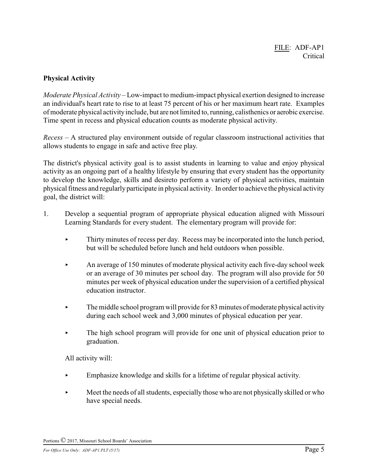## **Physical Activity**

*Moderate Physical Activity* – Low-impact to medium-impact physical exertion designed to increase an individual's heart rate to rise to at least 75 percent of his or her maximum heart rate. Examples of moderate physical activityinclude, but are not limited to, running, calisthenics or aerobic exercise. Time spent in recess and physical education counts as moderate physical activity.

*Recess* – A structured play environment outside of regular classroom instructional activities that allows students to engage in safe and active free play.

The district's physical activity goal is to assist students in learning to value and enjoy physical activity as an ongoing part of a healthy lifestyle by ensuring that every student has the opportunity to develop the knowledge, skills and desireto perform a variety of physical activities, maintain physical fitness and regularly participate in physical activity. In order to achieve the physical activity goal, the district will:

- 1. Develop a sequential program of appropriate physical education aligned with Missouri Learning Standards for every student. The elementary program will provide for:
	- < Thirty minutes of recess per day. Recess may be incorporated into the lunch period, but will be scheduled before lunch and held outdoors when possible.
	- An average of 150 minutes of moderate physical activity each five-day school week or an average of 30 minutes per school day. The program will also provide for 50 minutes per week of physical education under the supervision of a certified physical education instructor.
	- $\blacktriangleright$  The middle school program will provide for 83 minutes of moderate physical activity during each school week and 3,000 minutes of physical education per year.
	- $\blacktriangleright$  The high school program will provide for one unit of physical education prior to graduation.

All activity will:

- < Emphasize knowledge and skills for a lifetime of regular physical activity.
- Meet the needs of all students, especially those who are not physically skilled or who have special needs.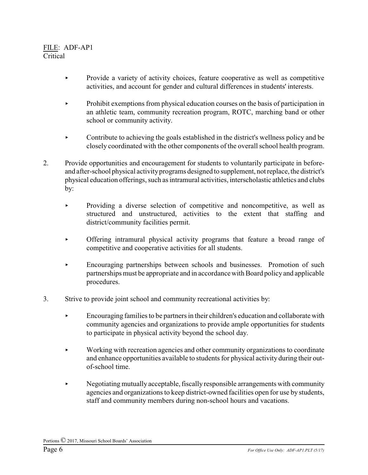- Provide a variety of activity choices, feature cooperative as well as competitive activities, and account for gender and cultural differences in students' interests.
- $\blacktriangleright$  Prohibit exemptions from physical education courses on the basis of participation in an athletic team, community recreation program, ROTC, marching band or other school or community activity.
- $\triangleright$  Contribute to achieving the goals established in the district's wellness policy and be closely coordinated with the other components of the overall school health program.
- 2. Provide opportunities and encouragement for students to voluntarily participate in beforeand after-school physical activityprograms designed to supplement, not replace, the district's physical education offerings, such as intramural activities, interscholastic athletics and clubs by:
	- < Providing a diverse selection of competitive and noncompetitive, as well as structured and unstructured, activities to the extent that staffing and district/community facilities permit.
	- < Offering intramural physical activity programs that feature a broad range of competitive and cooperative activities for all students.
	- < Encouraging partnerships between schools and businesses. Promotion of such partnerships must be appropriate and in accordance with Board policy and applicable procedures.
- 3. Strive to provide joint school and community recreational activities by:
	- $\blacktriangleright$  Encouraging families to be partners in their children's education and collaborate with community agencies and organizations to provide ample opportunities for students to participate in physical activity beyond the school day.
	- Working with recreation agencies and other community organizations to coordinate and enhance opportunities available to students for physical activity during their outof-school time.
	- $\blacktriangleright$  Negotiating mutually acceptable, fiscally responsible arrangements with community agencies and organizations to keep district-owned facilities open for use by students, staff and community members during non-school hours and vacations.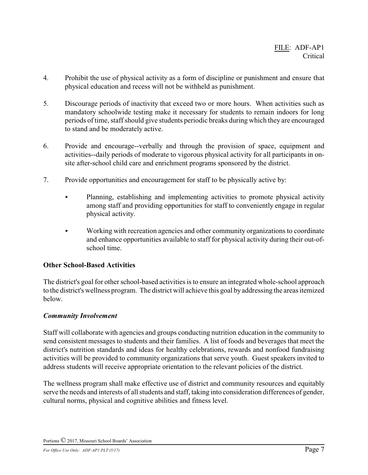- 4. Prohibit the use of physical activity as a form of discipline or punishment and ensure that physical education and recess will not be withheld as punishment.
- 5. Discourage periods of inactivity that exceed two or more hours. When activities such as mandatory schoolwide testing make it necessary for students to remain indoors for long periods of time, staff should give students periodic breaks during which they are encouraged to stand and be moderately active.
- 6. Provide and encourage--verbally and through the provision of space, equipment and activities--daily periods of moderate to vigorous physical activity for all participants in onsite after-school child care and enrichment programs sponsored by the district.
- 7. Provide opportunities and encouragement for staff to be physically active by:
	- Planning, establishing and implementing activities to promote physical activity among staff and providing opportunities for staff to conveniently engage in regular physical activity.
	- Working with recreation agencies and other community organizations to coordinate and enhance opportunities available to staff for physical activity during their out-ofschool time.

# **Other School-Based Activities**

The district's goal for other school-based activities is to ensure an integrated whole-school approach to the district's wellness program. The district will achieve this goal byaddressing the areas itemized below.

## *Community Involvement*

Staff will collaborate with agencies and groups conducting nutrition education in the community to send consistent messages to students and their families. A list of foods and beverages that meet the district's nutrition standards and ideas for healthy celebrations, rewards and nonfood fundraising activities will be provided to community organizations that serve youth. Guest speakers invited to address students will receive appropriate orientation to the relevant policies of the district.

The wellness program shall make effective use of district and community resources and equitably serve the needs and interests of all students and staff, taking into consideration differences of gender, cultural norms, physical and cognitive abilities and fitness level.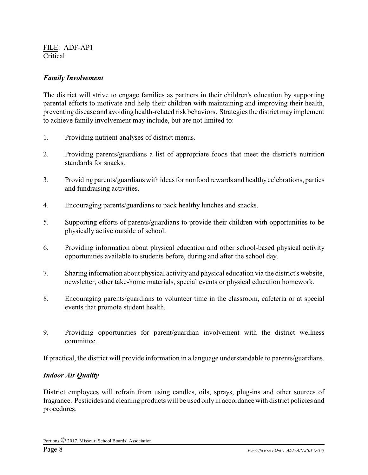## *Family Involvement*

The district will strive to engage families as partners in their children's education by supporting parental efforts to motivate and help their children with maintaining and improving their health, preventing disease and avoiding health-related risk behaviors. Strategies the district mayimplement to achieve family involvement may include, but are not limited to:

- 1. Providing nutrient analyses of district menus.
- 2. Providing parents/guardians a list of appropriate foods that meet the district's nutrition standards for snacks.
- 3. Providing parents/guardians with ideas for nonfood rewards and healthycelebrations, parties and fundraising activities.
- 4. Encouraging parents/guardians to pack healthy lunches and snacks.
- 5. Supporting efforts of parents/guardians to provide their children with opportunities to be physically active outside of school.
- 6. Providing information about physical education and other school-based physical activity opportunities available to students before, during and after the school day.
- 7. Sharing information about physical activity and physical education via the district's website, newsletter, other take-home materials, special events or physical education homework.
- 8. Encouraging parents/guardians to volunteer time in the classroom, cafeteria or at special events that promote student health.
- 9. Providing opportunities for parent/guardian involvement with the district wellness committee.

If practical, the district will provide information in a language understandable to parents/guardians.

## *Indoor Air Quality*

District employees will refrain from using candles, oils, sprays, plug-ins and other sources of fragrance. Pesticides and cleaning products will be used onlyin accordance with district policies and procedures.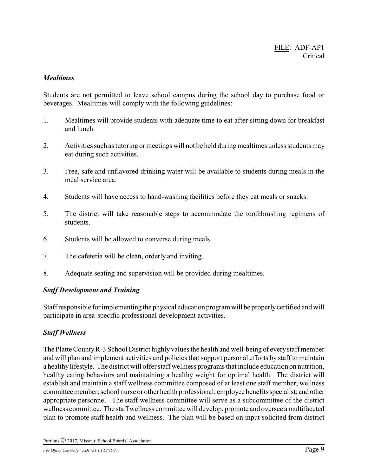#### *Mealtimes*

Students are not permitted to leave school campus during the school day to purchase food or beverages. Mealtimes will comply with the following guidelines:

- 1. Mealtimes will provide students with adequate time to eat after sitting down for breakfast and lunch.
- 2. Activities such as tutoring or meetings will not be held during mealtimes unless students may eat during such activities.
- 3. Free, safe and unflavored drinking water will be available to students during meals in the meal service area.
- 4. Students will have access to hand-washing facilities before they eat meals or snacks.
- 5. The district will take reasonable steps to accommodate the toothbrushing regimens of students.
- 6. Students will be allowed to converse during meals.
- 7. The cafeteria will be clean, orderly and inviting.
- 8. Adequate seating and supervision will be provided during mealtimes.

## *Staff Development and Training*

Staff responsible for implementing the physical education program will be properlycertified and will participate in area-specific professional development activities.

# *Staff Wellness*

The Platte CountyR-3 School District highly values the health and well-being of everystaff member and will plan and implement activities and policies that support personal efforts by staff to maintain a healthy lifestyle. The district will offer staff wellness programs that include education on nutrition, healthy eating behaviors and maintaining a healthy weight for optimal health. The district will establish and maintain a staff wellness committee composed of at least one staff member; wellness committee member; school nurse or other health professional; employee benefits specialist; and other appropriate personnel. The staff wellness committee will serve as a subcommittee of the district wellness committee. The staff wellness committee will develop, promote and oversee a multifaceted plan to promote staff health and wellness. The plan will be based on input solicited from district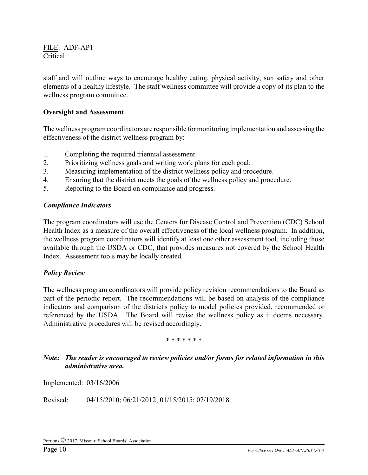staff and will outline ways to encourage healthy eating, physical activity, sun safety and other elements of a healthy lifestyle. The staff wellness committee will provide a copy of its plan to the wellness program committee.

#### **Oversight and Assessment**

The wellness program coordinators are responsible for monitoring implementation and assessing the effectiveness of the district wellness program by:

- 1. Completing the required triennial assessment.
- 2. Prioritizing wellness goals and writing work plans for each goal.
- 3. Measuring implementation of the district wellness policy and procedure.
- 4. Ensuring that the district meets the goals of the wellness policy and procedure.
- 5. Reporting to the Board on compliance and progress.

#### *Compliance Indicators*

The program coordinators will use the Centers for Disease Control and Prevention (CDC) School Health Index as a measure of the overall effectiveness of the local wellness program. In addition, the wellness program coordinators will identify at least one other assessment tool, including those available through the USDA or CDC, that provides measures not covered by the School Health Index. Assessment tools may be locally created.

#### *Policy Review*

The wellness program coordinators will provide policy revision recommendations to the Board as part of the periodic report. The recommendations will be based on analysis of the compliance indicators and comparison of the district's policy to model policies provided, recommended or referenced by the USDA. The Board will revise the wellness policy as it deems necessary. Administrative procedures will be revised accordingly.

#### \* \* \* \* \* \* \*

## *Note: The reader is encouraged to review policies and/or forms for related information in this administrative area.*

Implemented: 03/16/2006

Revised: 04/15/2010; 06/21/2012; 01/15/2015; 07/19/2018